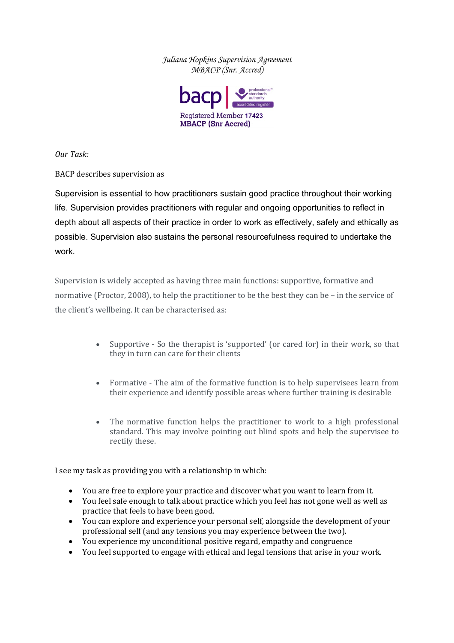*Juliana Hopkins Supervision Agreement MBACP (Snr. Accred)* 



*Our Task:*

BACP describes supervision as

Supervision is essential to how practitioners sustain good practice throughout their working life. Supervision provides practitioners with regular and ongoing opportunities to reflect in depth about all aspects of their practice in order to work as effectively, safely and ethically as possible. Supervision also sustains the personal resourcefulness required to undertake the work.

Supervision is widely accepted as having three main functions: supportive, formative and normative (Proctor, 2008), to help the practitioner to be the best they can be – in the service of the client's wellbeing. It can be characterised as:

- Supportive So the therapist is 'supported' (or cared for) in their work, so that they in turn can care for their clients
- Formative The aim of the formative function is to help supervisees learn from their experience and identify possible areas where further training is desirable
- The normative function helps the practitioner to work to a high professional standard. This may involve pointing out blind spots and help the supervisee to rectify these.

I see my task as providing you with a relationship in which:

- You are free to explore your practice and discover what you want to learn from it.
- You feel safe enough to talk about practice which you feel has not gone well as well as practice that feels to have been good.
- You can explore and experience your personal self, alongside the development of your professional self (and any tensions you may experience between the two).
- You experience my unconditional positive regard, empathy and congruence
- You feel supported to engage with ethical and legal tensions that arise in your work.